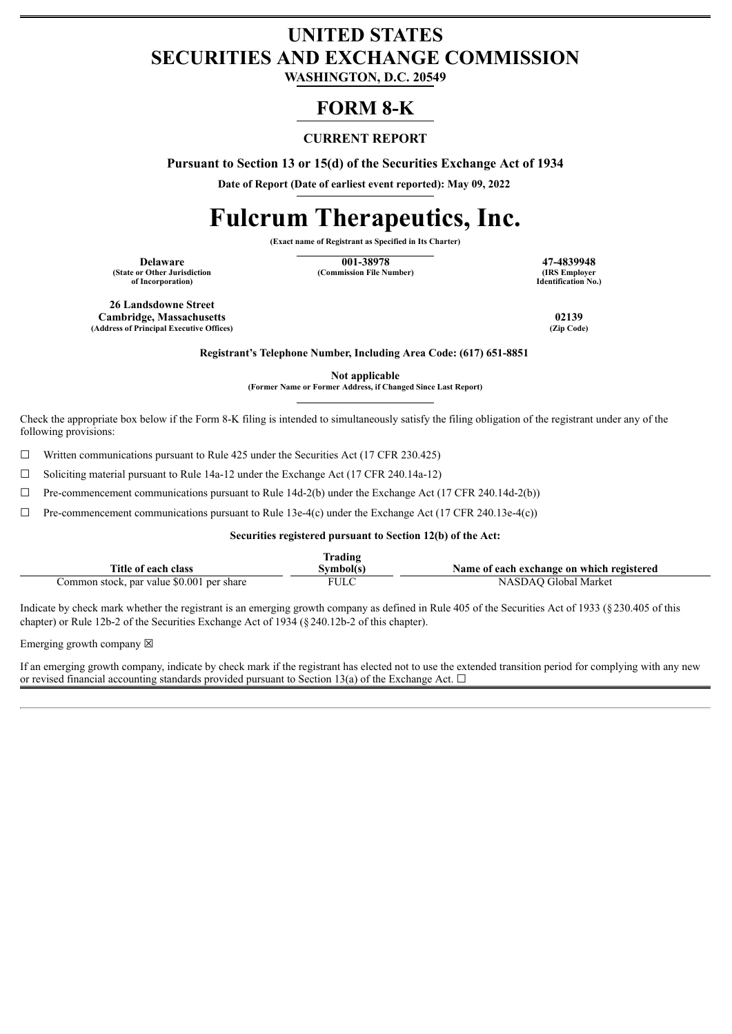# **UNITED STATES SECURITIES AND EXCHANGE COMMISSION**

**WASHINGTON, D.C. 20549**

## **FORM 8-K**

### **CURRENT REPORT**

**Pursuant to Section 13 or 15(d) of the Securities Exchange Act of 1934**

**Date of Report (Date of earliest event reported): May 09, 2022**

# **Fulcrum Therapeutics, Inc.**

**(Exact name of Registrant as Specified in Its Charter)**

**(State or Other Jurisdiction of Incorporation)**

**Delaware 17-4839948 17-4839948 17-4839948 17-4839948 17-4839948 188 17-4839948 188 188 188 188 188 188 188 188 188 188 188 188 188 188 188 188 188 188 188 188 188 (Commission File Number)** 

**Identification No.)**

**26 Landsdowne Street Cambridge, Massachusetts 02139 (Address of Principal Executive Offices)** 

**Registrant's Telephone Number, Including Area Code: (617) 651-8851**

**Not applicable**

**(Former Name or Former Address, if Changed Since Last Report)**

Check the appropriate box below if the Form 8-K filing is intended to simultaneously satisfy the filing obligation of the registrant under any of the following provisions:

 $\Box$  Written communications pursuant to Rule 425 under the Securities Act (17 CFR 230.425)

☐ Soliciting material pursuant to Rule 14a-12 under the Exchange Act (17 CFR 240.14a-12)

 $\Box$  Pre-commencement communications pursuant to Rule 14d-2(b) under the Exchange Act (17 CFR 240.14d-2(b))

 $\Box$  Pre-commencement communications pursuant to Rule 13e-4(c) under the Exchange Act (17 CFR 240.13e-4(c))

#### **Securities registered pursuant to Section 12(b) of the Act:**

|                                           | rading.   |                                           |
|-------------------------------------------|-----------|-------------------------------------------|
| <b>Title of each class</b>                | svmbol(s) | Name of each exchange on which registered |
| Common stock, par value \$0.001 per share | ுப∟       | NASDAO Global Market                      |

Indicate by check mark whether the registrant is an emerging growth company as defined in Rule 405 of the Securities Act of 1933 (§230.405 of this chapter) or Rule 12b-2 of the Securities Exchange Act of 1934 (§240.12b-2 of this chapter).

Emerging growth company  $\boxtimes$ 

If an emerging growth company, indicate by check mark if the registrant has elected not to use the extended transition period for complying with any new or revised financial accounting standards provided pursuant to Section 13(a) of the Exchange Act.  $\Box$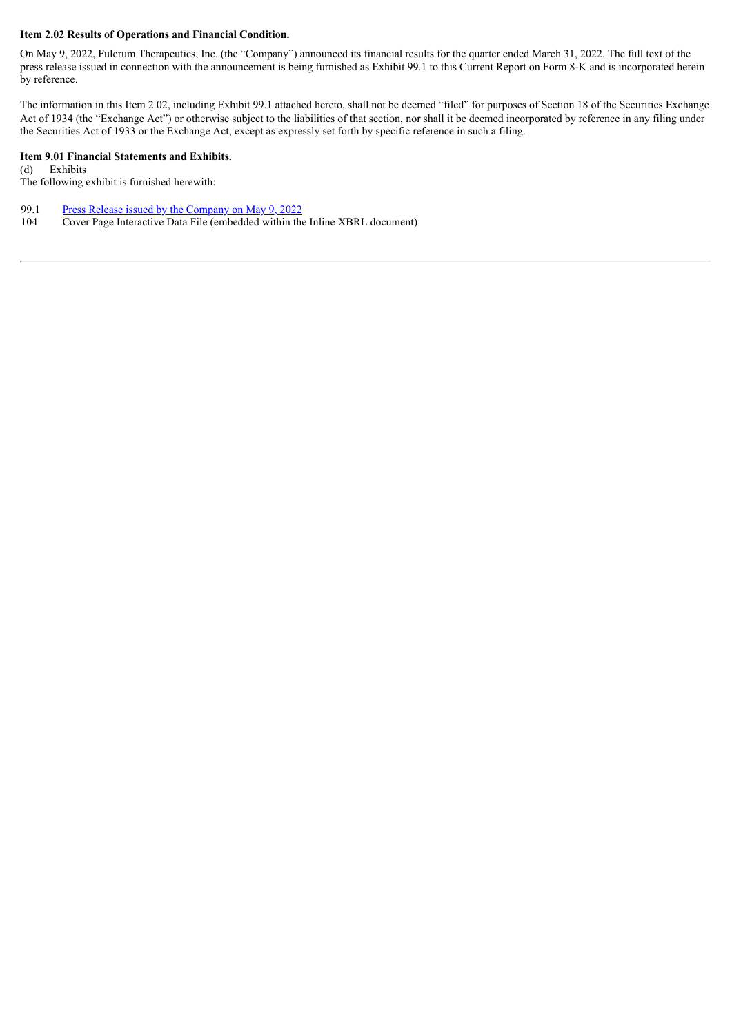#### **Item 2.02 Results of Operations and Financial Condition.**

On May 9, 2022, Fulcrum Therapeutics, Inc. (the "Company") announced its financial results for the quarter ended March 31, 2022. The full text of the press release issued in connection with the announcement is being furnished as Exhibit 99.1 to this Current Report on Form 8-K and is incorporated herein by reference.

The information in this Item 2.02, including Exhibit 99.1 attached hereto, shall not be deemed "filed" for purposes of Section 18 of the Securities Exchange Act of 1934 (the "Exchange Act") or otherwise subject to the liabilities of that section, nor shall it be deemed incorporated by reference in any filing under the Securities Act of 1933 or the Exchange Act, except as expressly set forth by specific reference in such a filing.

#### **Item 9.01 Financial Statements and Exhibits.**

(d) Exhibits The following exhibit is furnished herewith:

- 99.1 Press Release issued by the [Company](#page-3-0) on May 9, 2022<br>104 Cover Page Interactive Data File (embedded within the
- Cover Page Interactive Data File (embedded within the Inline XBRL document)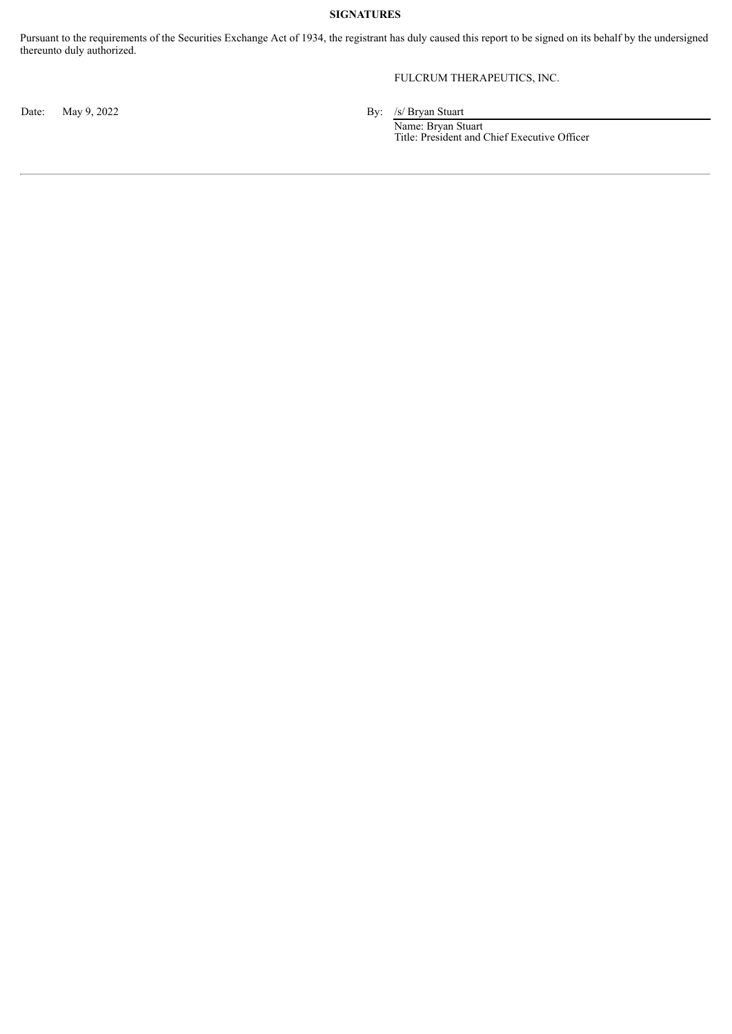#### **SIGNATURES**

Pursuant to the requirements of the Securities Exchange Act of 1934, the registrant has duly caused this report to be signed on its behalf by the undersigned thereunto duly authorized.

#### FULCRUM THERAPEUTICS, INC.

Date: May 9, 2022 By: /s/ Bryan Stuart

Name: Bryan Stuart Title: President and Chief Executive Officer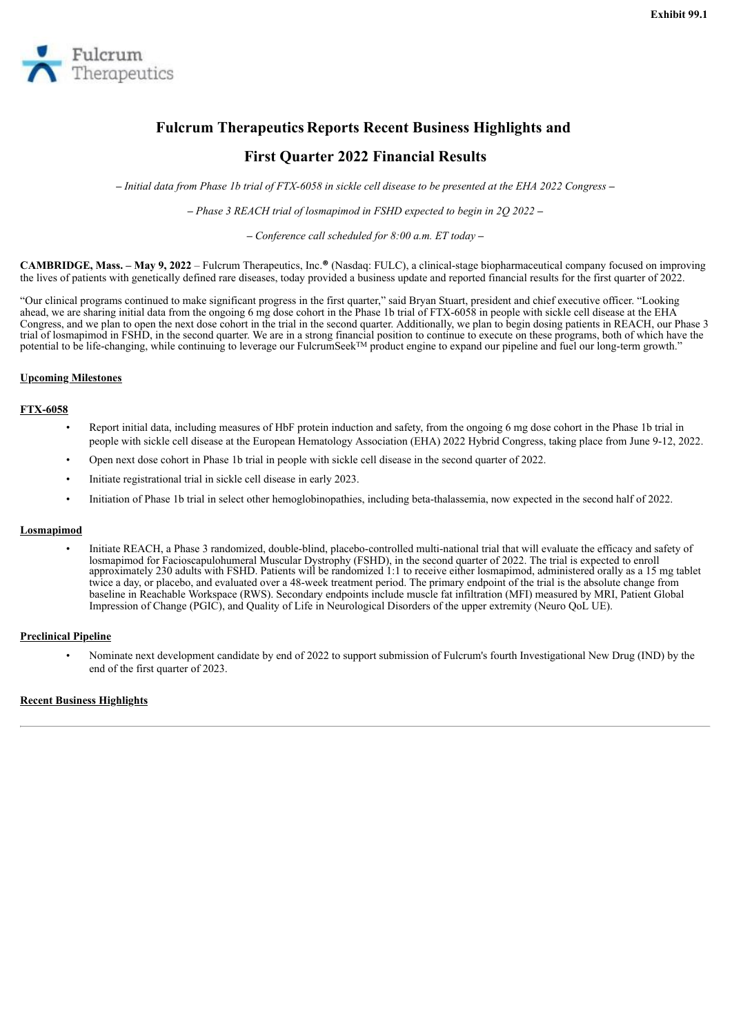<span id="page-3-0"></span>

## **Fulcrum Therapeutics Reports Recent Business Highlights and**

## **First Quarter 2022 Financial Results**

 $-$  Initial data from Phase 1b trial of FTX-6058 in sickle cell disease to be presented at the EHA 2022 Congress  $-$ 

**–** *Phase 3 REACH trial of losmapimod in FSHD expected to begin in 2Q 2022* **–**

**–** *Conference call scheduled for 8:00 a.m. ET today* **–**

**CAMBRIDGE, Mass. – May 9, 2022** – Fulcrum Therapeutics, Inc.**®** (Nasdaq: FULC), a clinical-stage biopharmaceutical company focused on improving the lives of patients with genetically defined rare diseases, today provided a business update and reported financial results for the first quarter of 2022.

"Our clinical programs continued to make significant progress in the first quarter," said Bryan Stuart, president and chief executive officer. "Looking ahead, we are sharing initial data from the ongoing 6 mg dose cohort in the Phase 1b trial of FTX-6058 in people with sickle cell disease at the EHA Congress, and we plan to open the next dose cohort in the trial in the second quarter. Additionally, we plan to begin dosing patients in REACH, our Phase 3 trial of losmapimod in FSHD, in the second quarter. We are in a strong financial position to continue to execute on these programs, both of which have the potential to be life-changing, while continuing to leverage our FulcrumSeek<sup>TM</sup> product engine to expand our pipeline and fuel our long-term growth."

#### **Upcoming Milestones**

#### **FTX-6058**

- Report initial data, including measures of HbF protein induction and safety, from the ongoing 6 mg dose cohort in the Phase 1b trial in people with sickle cell disease at the European Hematology Association (EHA) 2022 Hybrid Congress, taking place from June 9-12, 2022.
- Open next dose cohort in Phase 1b trial in people with sickle cell disease in the second quarter of 2022.
- Initiate registrational trial in sickle cell disease in early 2023.
- Initiation of Phase 1b trial in select other hemoglobinopathies, including beta-thalassemia, now expected in the second half of 2022.

#### **Losmapimod**

• Initiate REACH, a Phase 3 randomized, double-blind, placebo-controlled multi-national trial that will evaluate the efficacy and safety of losmapimod for Facioscapulohumeral Muscular Dystrophy (FSHD), in the second quarter of 2022. The trial is expected to enroll approximately 230 adults with FSHD. Patients will be randomized 1:1 to receive either losmapimod, administered orally as a 15 mg tablet twice a day, or placebo, and evaluated over a 48-week treatment period. The primary endpoint of the trial is the absolute change from baseline in Reachable Workspace (RWS). Secondary endpoints include muscle fat infiltration (MFI) measured by MRI, Patient Global Impression of Change (PGIC), and Quality of Life in Neurological Disorders of the upper extremity (Neuro QoL UE).

#### **Preclinical Pipeline**

• Nominate next development candidate by end of 2022 to support submission of Fulcrum's fourth Investigational New Drug (IND) by the end of the first quarter of 2023.

#### **Recent Business Highlights**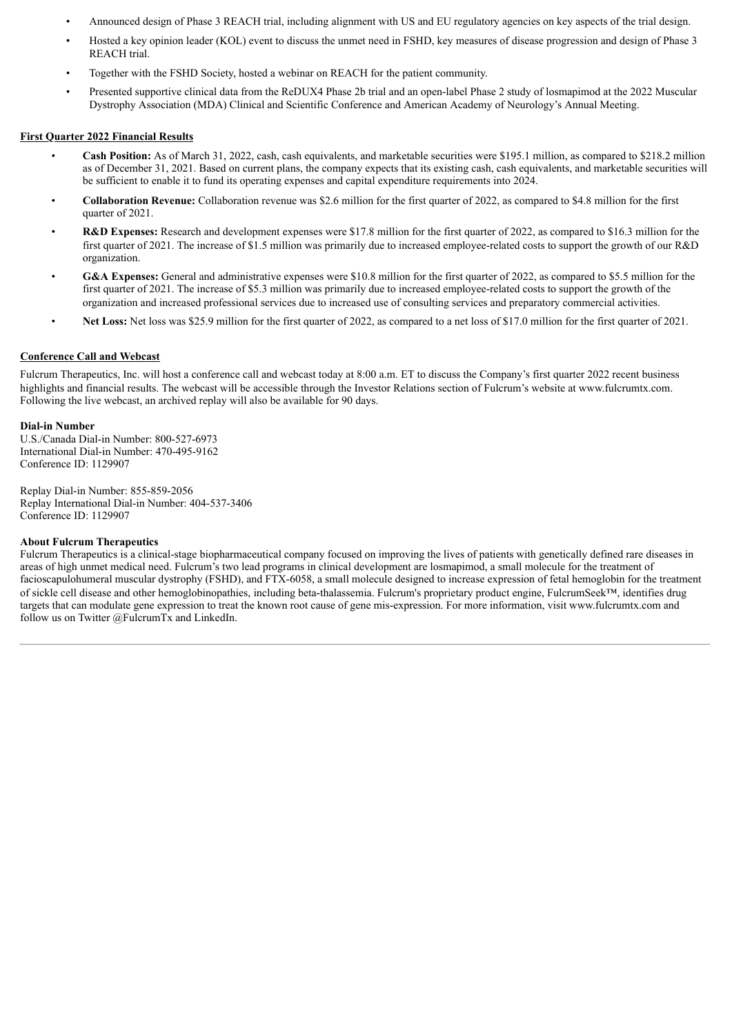- Announced design of Phase 3 REACH trial, including alignment with US and EU regulatory agencies on key aspects of the trial design.
- Hosted a key opinion leader (KOL) event to discuss the unmet need in FSHD, key measures of disease progression and design of Phase 3 REACH trial.
- Together with the FSHD Society, hosted a webinar on REACH for the patient community.
- Presented supportive clinical data from the ReDUX4 Phase 2b trial and an open-label Phase 2 study of losmapimod at the 2022 Muscular Dystrophy Association (MDA) Clinical and Scientific Conference and American Academy of Neurology's Annual Meeting.

#### **First Quarter 2022 Financial Results**

- **Cash Position:** As of March 31, 2022, cash, cash equivalents, and marketable securities were \$195.1 million, as compared to \$218.2 million as of December 31, 2021. Based on current plans, the company expects that its existing cash, cash equivalents, and marketable securities will be sufficient to enable it to fund its operating expenses and capital expenditure requirements into 2024.
- **Collaboration Revenue:** Collaboration revenue was \$2.6 million for the first quarter of 2022, as compared to \$4.8 million for the first quarter of 2021.
- **R&D Expenses:** Research and development expenses were \$17.8 million for the first quarter of 2022, as compared to \$16.3 million for the first quarter of 2021. The increase of \$1.5 million was primarily due to increased employee-related costs to support the growth of our R&D organization.
- **G&A Expenses:** General and administrative expenses were \$10.8 million for the first quarter of 2022, as compared to \$5.5 million for the first quarter of 2021. The increase of \$5.3 million was primarily due to increased employee-related costs to support the growth of the organization and increased professional services due to increased use of consulting services and preparatory commercial activities.
- **Net Loss:** Net loss was \$25.9 million for the first quarter of 2022, as compared to a net loss of \$17.0 million for the first quarter of 2021.

#### **Conference Call and Webcast**

Fulcrum Therapeutics, Inc. will host a conference call and webcast today at 8:00 a.m. ET to discuss the Company's first quarter 2022 recent business highlights and financial results. The webcast will be accessible through the Investor Relations section of Fulcrum's website at www.fulcrumtx.com. Following the live webcast, an archived replay will also be available for 90 days.

#### **Dial-in Number**

U.S./Canada Dial-in Number: 800-527-6973 International Dial-in Number: 470-495-9162 Conference ID: 1129907

Replay Dial-in Number: 855-859-2056 Replay International Dial-in Number: 404-537-3406 Conference ID: 1129907

#### **About Fulcrum Therapeutics**

Fulcrum Therapeutics is a clinical-stage biopharmaceutical company focused on improving the lives of patients with genetically defined rare diseases in areas of high unmet medical need. Fulcrum's two lead programs in clinical development are losmapimod, a small molecule for the treatment of facioscapulohumeral muscular dystrophy (FSHD), and FTX-6058, a small molecule designed to increase expression of fetal hemoglobin for the treatment of sickle cell disease and other hemoglobinopathies, including beta-thalassemia. Fulcrum's proprietary product engine, FulcrumSeek™, identifies drug targets that can modulate gene expression to treat the known root cause of gene mis-expression. For more information, visit www.fulcrumtx.com and follow us on Twitter @FulcrumTx and LinkedIn.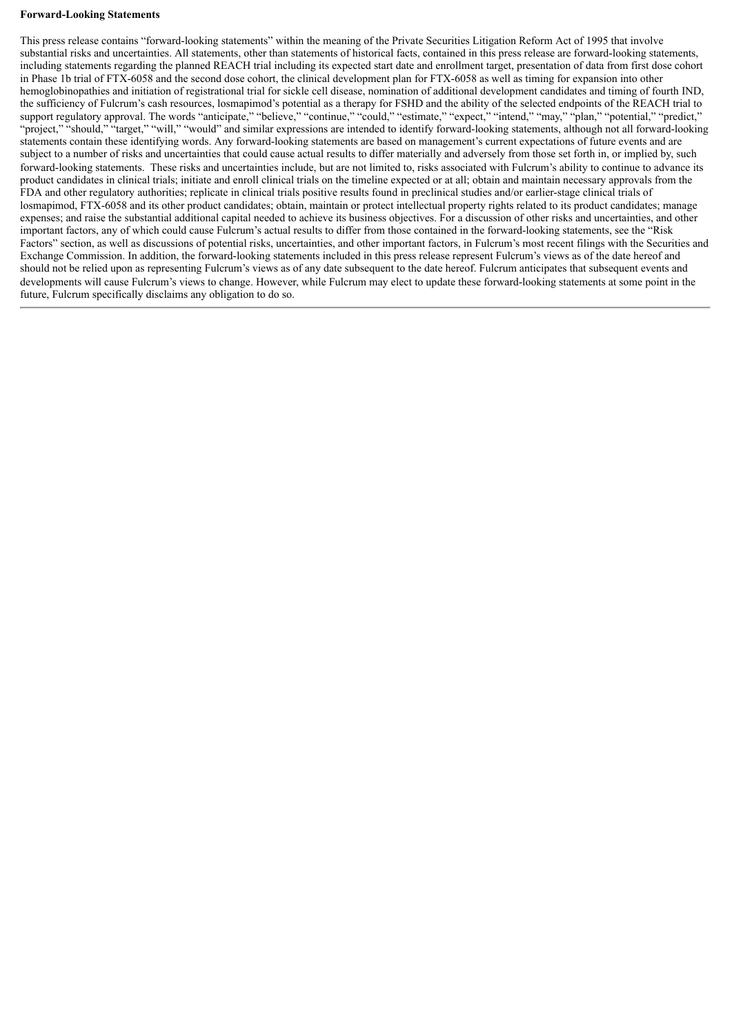#### **Forward-Looking Statements**

This press release contains "forward-looking statements" within the meaning of the Private Securities Litigation Reform Act of 1995 that involve substantial risks and uncertainties. All statements, other than statements of historical facts, contained in this press release are forward-looking statements, including statements regarding the planned REACH trial including its expected start date and enrollment target, presentation of data from first dose cohort in Phase 1b trial of FTX-6058 and the second dose cohort, the clinical development plan for FTX-6058 as well as timing for expansion into other hemoglobinopathies and initiation of registrational trial for sickle cell disease, nomination of additional development candidates and timing of fourth IND, the sufficiency of Fulcrum's cash resources, losmapimod's potential as a therapy for FSHD and the ability of the selected endpoints of the REACH trial to support regulatory approval. The words "anticipate," "believe," "continue," "could," "estimate," "expect," "intend," "may," "plan," "potential," "predict," "project," "should," "target," "will," "would" and similar expressions are intended to identify forward-looking statements, although not all forward-looking statements contain these identifying words. Any forward-looking statements are based on management's current expectations of future events and are subject to a number of risks and uncertainties that could cause actual results to differ materially and adversely from those set forth in, or implied by, such forward-looking statements. These risks and uncertainties include, but are not limited to, risks associated with Fulcrum's ability to continue to advance its product candidates in clinical trials; initiate and enroll clinical trials on the timeline expected or at all; obtain and maintain necessary approvals from the FDA and other regulatory authorities; replicate in clinical trials positive results found in preclinical studies and/or earlier-stage clinical trials of losmapimod, FTX-6058 and its other product candidates; obtain, maintain or protect intellectual property rights related to its product candidates; manage expenses; and raise the substantial additional capital needed to achieve its business objectives. For a discussion of other risks and uncertainties, and other important factors, any of which could cause Fulcrum's actual results to differ from those contained in the forward-looking statements, see the "Risk Factors" section, as well as discussions of potential risks, uncertainties, and other important factors, in Fulcrum's most recent filings with the Securities and Exchange Commission. In addition, the forward-looking statements included in this press release represent Fulcrum's views as of the date hereof and should not be relied upon as representing Fulcrum's views as of any date subsequent to the date hereof. Fulcrum anticipates that subsequent events and developments will cause Fulcrum's views to change. However, while Fulcrum may elect to update these forward-looking statements at some point in the future, Fulcrum specifically disclaims any obligation to do so.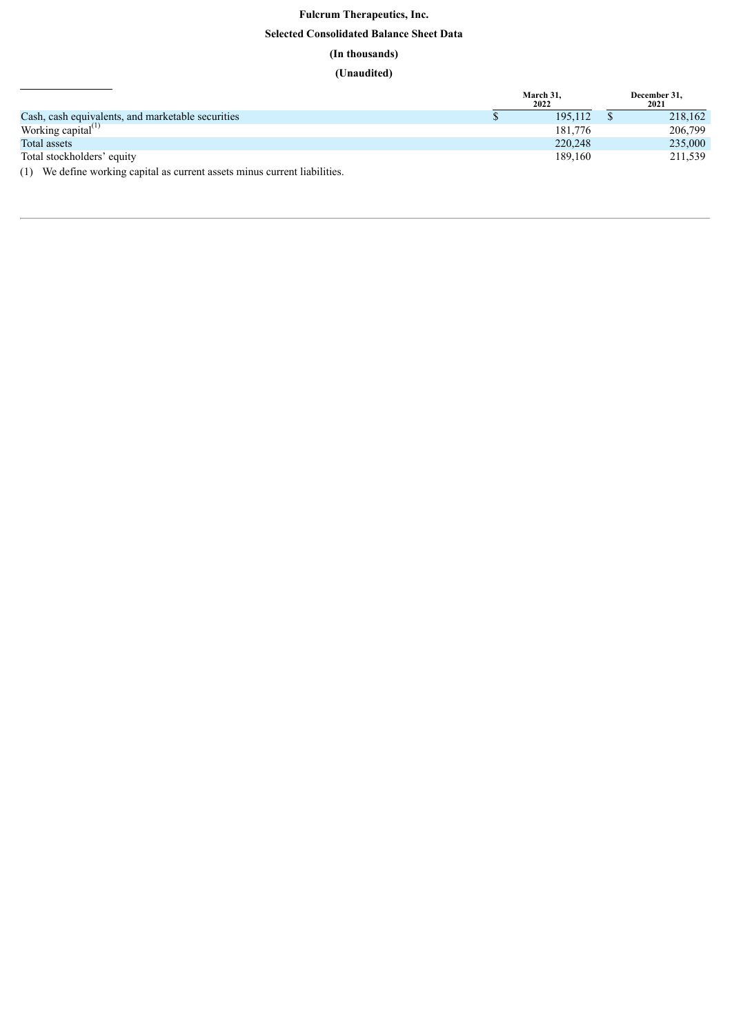## **Fulcrum Therapeutics, Inc. Selected Consolidated Balance Sheet Data (In thousands)**

## **(Unaudited)**

|                                                                               | March 31,<br>2022 | December 31,<br>2021 |         |
|-------------------------------------------------------------------------------|-------------------|----------------------|---------|
| Cash, cash equivalents, and marketable securities                             | 195.112           |                      | 218,162 |
| Working capital $(1)$                                                         | 181.776           |                      | 206.799 |
| Total assets                                                                  | 220,248           |                      | 235,000 |
| Total stockholders' equity                                                    | 189.160           |                      | 211,539 |
| We define working capital as current assets minus current liabilities.<br>(1) |                   |                      |         |